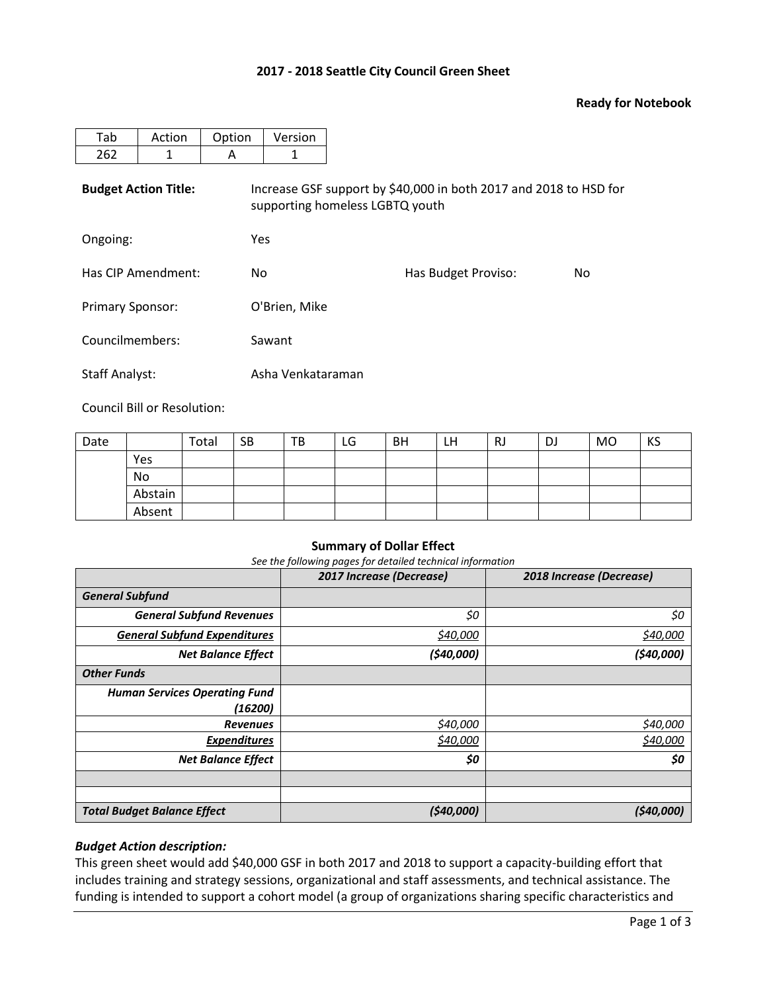### **2017 - 2018 Seattle City Council Green Sheet**

### **Ready for Notebook**

| Tab                         | Action | Option | Version                                                                                              |                     |                |  |  |  |  |  |
|-----------------------------|--------|--------|------------------------------------------------------------------------------------------------------|---------------------|----------------|--|--|--|--|--|
| 262                         | 1      | A      | 1                                                                                                    |                     |                |  |  |  |  |  |
| <b>Budget Action Title:</b> |        |        | Increase GSF support by \$40,000 in both 2017 and 2018 to HSD for<br>supporting homeless LGBTQ youth |                     |                |  |  |  |  |  |
| Ongoing:                    |        |        | Yes                                                                                                  |                     |                |  |  |  |  |  |
| Has CIP Amendment:          |        | No.    |                                                                                                      | Has Budget Proviso: | N <sub>o</sub> |  |  |  |  |  |
| <b>Primary Sponsor:</b>     |        |        | O'Brien, Mike                                                                                        |                     |                |  |  |  |  |  |
| Councilmembers:             |        |        | Sawant                                                                                               |                     |                |  |  |  |  |  |
| <b>Staff Analyst:</b>       |        |        | Asha Venkataraman                                                                                    |                     |                |  |  |  |  |  |

Council Bill or Resolution:

| Date |         | Total | <b>SB</b> | TB | LG | <b>BH</b> | LH | RJ | DJ | <b>MO</b> | KS |
|------|---------|-------|-----------|----|----|-----------|----|----|----|-----------|----|
|      | Yes     |       |           |    |    |           |    |    |    |           |    |
|      | No      |       |           |    |    |           |    |    |    |           |    |
|      | Abstain |       |           |    |    |           |    |    |    |           |    |
|      | Absent  |       |           |    |    |           |    |    |    |           |    |

### **Summary of Dollar Effect**

*See the following pages for detailed technical information*

|                                      | 2017 Increase (Decrease) | 2018 Increase (Decrease) |
|--------------------------------------|--------------------------|--------------------------|
| <b>General Subfund</b>               |                          |                          |
| <b>General Subfund Revenues</b>      | \$0                      | \$0                      |
| <b>General Subfund Expenditures</b>  | \$40,000                 | \$40,000                 |
| <b>Net Balance Effect</b>            | (540,000)                | (540,000)                |
| <b>Other Funds</b>                   |                          |                          |
| <b>Human Services Operating Fund</b> |                          |                          |
| (16200)                              |                          |                          |
| <b>Revenues</b>                      | \$40,000                 | \$40,000                 |
| <b>Expenditures</b>                  | \$40,000                 | \$40,000                 |
| <b>Net Balance Effect</b>            | \$0                      | \$0                      |
|                                      |                          |                          |
|                                      |                          |                          |
| <b>Total Budget Balance Effect</b>   | (\$40,000)               | (\$40,000)               |

## *Budget Action description:*

This green sheet would add \$40,000 GSF in both 2017 and 2018 to support a capacity-building effort that includes training and strategy sessions, organizational and staff assessments, and technical assistance. The funding is intended to support a cohort model (a group of organizations sharing specific characteristics and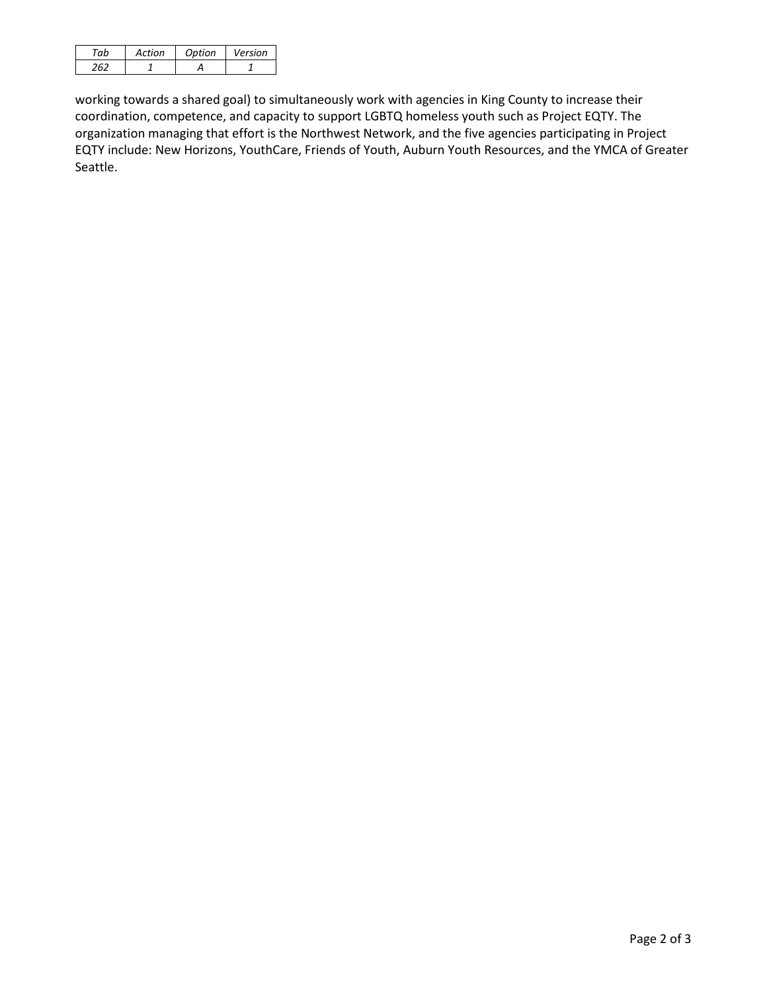| 'nh | Action | Option | Version |
|-----|--------|--------|---------|
|     |        |        |         |

working towards a shared goal) to simultaneously work with agencies in King County to increase their coordination, competence, and capacity to support LGBTQ homeless youth such as Project EQTY. The organization managing that effort is the Northwest Network, and the five agencies participating in Project EQTY include: New Horizons, YouthCare, Friends of Youth, Auburn Youth Resources, and the YMCA of Greater Seattle.